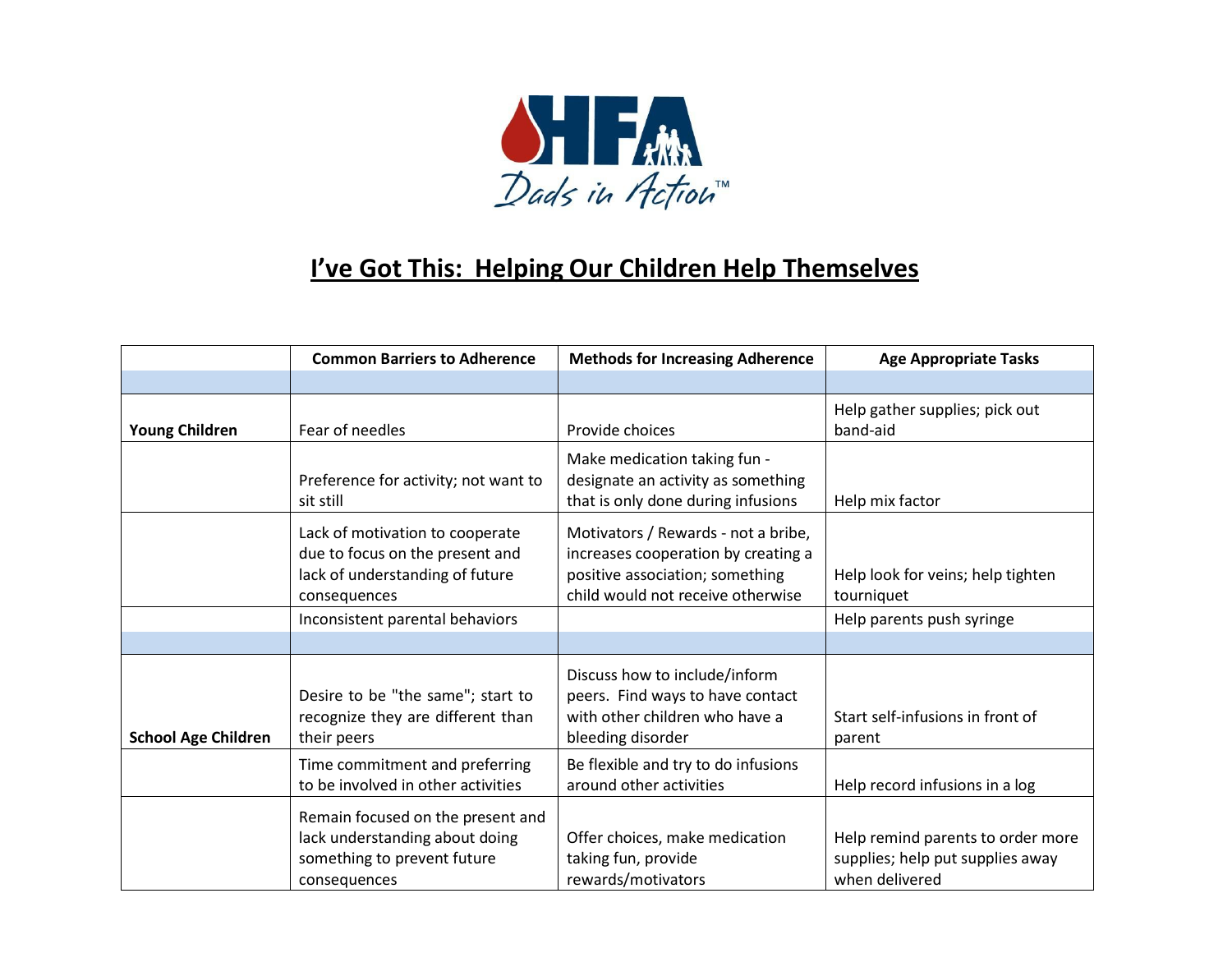

## **I've Got This: Helping Our Children Help Themselves**

|                            | <b>Common Barriers to Adherence</b>                                                                                   | <b>Methods for Increasing Adherence</b>                                                                                                            | <b>Age Appropriate Tasks</b>                                                            |
|----------------------------|-----------------------------------------------------------------------------------------------------------------------|----------------------------------------------------------------------------------------------------------------------------------------------------|-----------------------------------------------------------------------------------------|
|                            |                                                                                                                       |                                                                                                                                                    |                                                                                         |
| <b>Young Children</b>      | Fear of needles                                                                                                       | Provide choices                                                                                                                                    | Help gather supplies; pick out<br>band-aid                                              |
|                            | Preference for activity; not want to<br>sit still                                                                     | Make medication taking fun -<br>designate an activity as something<br>that is only done during infusions                                           | Help mix factor                                                                         |
|                            | Lack of motivation to cooperate<br>due to focus on the present and<br>lack of understanding of future<br>consequences | Motivators / Rewards - not a bribe,<br>increases cooperation by creating a<br>positive association; something<br>child would not receive otherwise | Help look for veins; help tighten<br>tourniquet                                         |
|                            | Inconsistent parental behaviors                                                                                       |                                                                                                                                                    | Help parents push syringe                                                               |
|                            |                                                                                                                       |                                                                                                                                                    |                                                                                         |
| <b>School Age Children</b> | Desire to be "the same"; start to<br>recognize they are different than<br>their peers                                 | Discuss how to include/inform<br>peers. Find ways to have contact<br>with other children who have a<br>bleeding disorder                           | Start self-infusions in front of<br>parent                                              |
|                            | Time commitment and preferring<br>to be involved in other activities                                                  | Be flexible and try to do infusions<br>around other activities                                                                                     | Help record infusions in a log                                                          |
|                            | Remain focused on the present and<br>lack understanding about doing<br>something to prevent future<br>consequences    | Offer choices, make medication<br>taking fun, provide<br>rewards/motivators                                                                        | Help remind parents to order more<br>supplies; help put supplies away<br>when delivered |